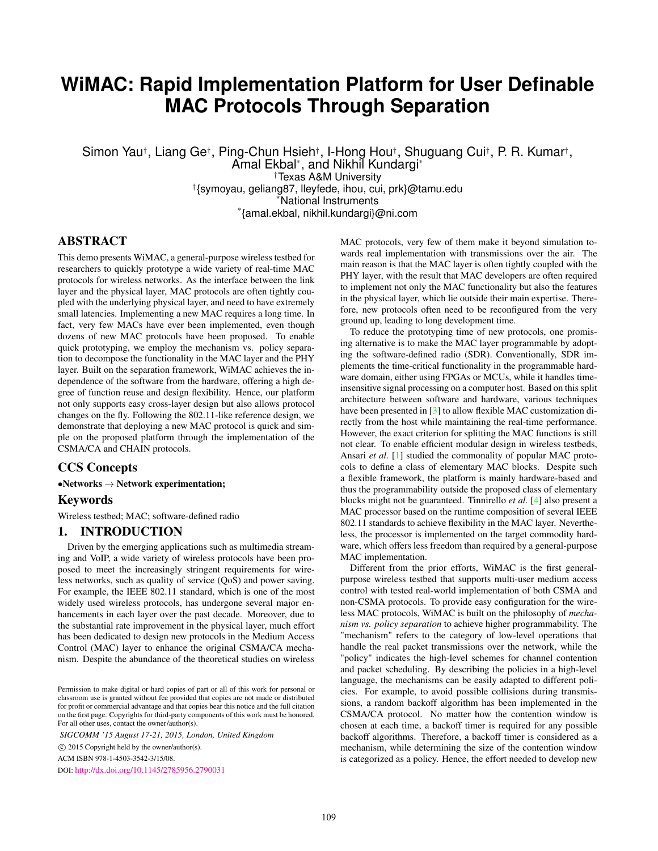# **WiMAC: Rapid Implementation Platform for User Definable MAC Protocols Through Separation**

Simon Yau†, Liang Ge†, Ping-Chun Hsieh†, I-Hong Hou†, Shuguang Cui†, P. R. Kumar†, Amal Ekbal\* , and Nikhil Kundargi\* †Texas A&M University † {symoyau, geliang87, lleyfede, ihou, cui, prk}@tamu.edu **National Instruments** \* {amal.ekbal, nikhil.kundargi}@ni.com

# ABSTRACT

This demo presents WiMAC, a general-purpose wireless testbed for researchers to quickly prototype a wide variety of real-time MAC protocols for wireless networks. As the interface between the link layer and the physical layer, MAC protocols are often tightly coupled with the underlying physical layer, and need to have extremely small latencies. Implementing a new MAC requires a long time. In fact, very few MACs have ever been implemented, even though dozens of new MAC protocols have been proposed. To enable quick prototyping, we employ the mechanism vs. policy separation to decompose the functionality in the MAC layer and the PHY layer. Built on the separation framework, WiMAC achieves the independence of the software from the hardware, offering a high degree of function reuse and design flexibility. Hence, our platform not only supports easy cross-layer design but also allows protocol changes on the fly. Following the 802.11-like reference design, we demonstrate that deploying a new MAC protocol is quick and simple on the proposed platform through the implementation of the CSMA/CA and CHAIN protocols.

## CCS Concepts

#### $\bullet$ Networks  $\rightarrow$  Network experimentation;

#### Keywords

Wireless testbed; MAC; software-defined radio

## 1. INTRODUCTION

Driven by the emerging applications such as multimedia streaming and VoIP, a wide variety of wireless protocols have been proposed to meet the increasingly stringent requirements for wireless networks, such as quality of service (QoS) and power saving. For example, the IEEE 802.11 standard, which is one of the most widely used wireless protocols, has undergone several major enhancements in each layer over the past decade. Moreover, due to the substantial rate improvement in the physical layer, much effort has been dedicated to design new protocols in the Medium Access Control (MAC) layer to enhance the original CSMA/CA mechanism. Despite the abundance of the theoretical studies on wireless

*SIGCOMM '15 August 17-21, 2015, London, United Kingdom*

c 2015 Copyright held by the owner/author(s).

ACM ISBN 978-1-4503-3542-3/15/08.

DOI: <http://dx.doi.org/10.1145/2785956.2790031>

MAC protocols, very few of them make it beyond simulation towards real implementation with transmissions over the air. The main reason is that the MAC layer is often tightly coupled with the PHY layer, with the result that MAC developers are often required to implement not only the MAC functionality but also the features in the physical layer, which lie outside their main expertise. Therefore, new protocols often need to be reconfigured from the very ground up, leading to long development time.

To reduce the prototyping time of new protocols, one promising alternative is to make the MAC layer programmable by adopting the software-defined radio (SDR). Conventionally, SDR implements the time-critical functionality in the programmable hardware domain, either using FPGAs or MCUs, while it handles timeinsensitive signal processing on a computer host. Based on this split architecture between software and hardware, various techniques have been presented in [\[3\]](#page-1-0) to allow flexible MAC customization directly from the host while maintaining the real-time performance. However, the exact criterion for splitting the MAC functions is still not clear. To enable efficient modular design in wireless testbeds, Ansari *et al.* [\[1\]](#page-1-1) studied the commonality of popular MAC protocols to define a class of elementary MAC blocks. Despite such a flexible framework, the platform is mainly hardware-based and thus the programmability outside the proposed class of elementary blocks might not be guaranteed. Tinnirello *et al.* [\[4\]](#page-1-2) also present a MAC processor based on the runtime composition of several IEEE 802.11 standards to achieve flexibility in the MAC layer. Nevertheless, the processor is implemented on the target commodity hardware, which offers less freedom than required by a general-purpose MAC implementation.

Different from the prior efforts, WiMAC is the first generalpurpose wireless testbed that supports multi-user medium access control with tested real-world implementation of both CSMA and non-CSMA protocols. To provide easy configuration for the wireless MAC protocols, WiMAC is built on the philosophy of *mechanism vs. policy separation* to achieve higher programmability. The "mechanism" refers to the category of low-level operations that handle the real packet transmissions over the network, while the "policy" indicates the high-level schemes for channel contention and packet scheduling. By describing the policies in a high-level language, the mechanisms can be easily adapted to different policies. For example, to avoid possible collisions during transmissions, a random backoff algorithm has been implemented in the CSMA/CA protocol. No matter how the contention window is chosen at each time, a backoff timer is required for any possible backoff algorithms. Therefore, a backoff timer is considered as a mechanism, while determining the size of the contention window is categorized as a policy. Hence, the effort needed to develop new

Permission to make digital or hard copies of part or all of this work for personal or classroom use is granted without fee provided that copies are not made or distributed for profit or commercial advantage and that copies bear this notice and the full citation on the first page. Copyrights for third-party components of this work must be honored. For all other uses, contact the owner/author(s).